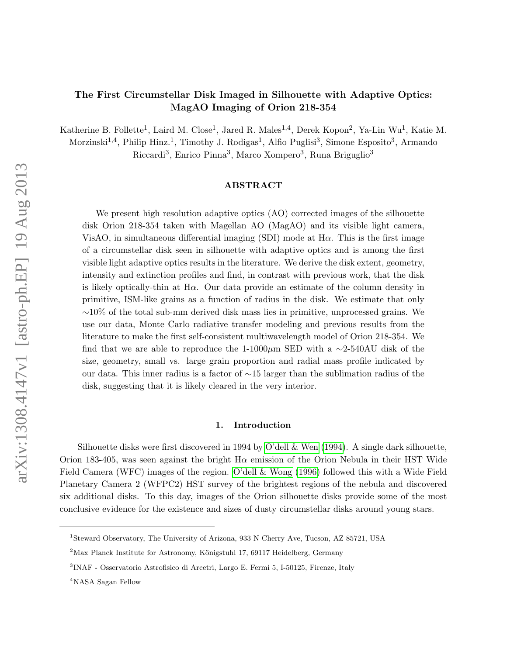# The First Circumstellar Disk Imaged in Silhouette with Adaptive Optics: MagAO Imaging of Orion 218-354

Katherine B. Follette<sup>1</sup>, Laird M. Close<sup>1</sup>, Jared R. Males<sup>1,4</sup>, Derek Kopon<sup>2</sup>, Ya-Lin Wu<sup>1</sup>, Katie M.

Morzinski<sup>1,4</sup>, Philip Hinz.<sup>1</sup>, Timothy J. Rodigas<sup>1</sup>, Alfio Puglisi<sup>3</sup>, Simone Esposito<sup>3</sup>, Armando

Riccardi<sup>3</sup>, Enrico Pinna<sup>3</sup>, Marco Xompero<sup>3</sup>, Runa Briguglio<sup>3</sup>

#### ABSTRACT

We present high resolution adaptive optics (AO) corrected images of the silhouette disk Orion 218-354 taken with Magellan AO (MagAO) and its visible light camera, VisAO, in simultaneous differential imaging (SDI) mode at  $H\alpha$ . This is the first image of a circumstellar disk seen in silhouette with adaptive optics and is among the first visible light adaptive optics results in the literature. We derive the disk extent, geometry, intensity and extinction profiles and find, in contrast with previous work, that the disk is likely optically-thin at H $\alpha$ . Our data provide an estimate of the column density in primitive, ISM-like grains as a function of radius in the disk. We estimate that only  $~10\%$  of the total sub-mm derived disk mass lies in primitive, unprocessed grains. We use our data, Monte Carlo radiative transfer modeling and previous results from the literature to make the first self-consistent multiwavelength model of Orion 218-354. We find that we are able to reproduce the 1-1000µm SED with a  $\sim$ 2-540AU disk of the size, geometry, small vs. large grain proportion and radial mass profile indicated by our data. This inner radius is a factor of ∼15 larger than the sublimation radius of the disk, suggesting that it is likely cleared in the very interior.

#### 1. Introduction

Silhouette disks were first discovered in 1994 by [O'dell & Wen](#page-12-0)  $(1994)$ . A single dark silhouette, Orion 183-405, was seen against the bright  $H\alpha$  emission of the Orion Nebula in their HST Wide Field Camera (WFC) images of the region. [O'dell & Wong](#page-12-1) [\(1996\)](#page-12-1) followed this with a Wide Field Planetary Camera 2 (WFPC2) HST survey of the brightest regions of the nebula and discovered six additional disks. To this day, images of the Orion silhouette disks provide some of the most conclusive evidence for the existence and sizes of dusty circumstellar disks around young stars.

<sup>1</sup>Steward Observatory, The University of Arizona, 933 N Cherry Ave, Tucson, AZ 85721, USA

 $2$ Max Planck Institute for Astronomy, Königstuhl 17, 69117 Heidelberg, Germany

<sup>3</sup> INAF - Osservatorio Astrofisico di Arcetri, Largo E. Fermi 5, I-50125, Firenze, Italy

<sup>&</sup>lt;sup>4</sup>NASA Sagan Fellow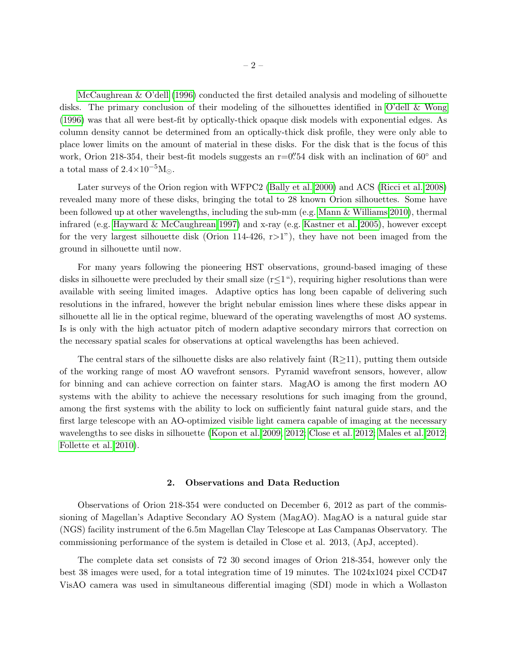[McCaughrean & O'dell](#page-12-2) [\(1996\)](#page-12-2) conducted the first detailed analysis and modeling of silhouette disks. The primary conclusion of their modeling of the silhouettes identified in [O'dell & Wong](#page-12-1) [\(1996\)](#page-12-1) was that all were best-fit by optically-thick opaque disk models with exponential edges. As column density cannot be determined from an optically-thick disk profile, they were only able to place lower limits on the amount of material in these disks. For the disk that is the focus of this work, Orion 218-354, their best-fit models suggests an  $r=0$ ".54 disk with an inclination of  $60°$  and a total mass of  $2.4 \times 10^{-5}$ M...

Later surveys of the Orion region with WFPC2 [\(Bally et al. 2000\)](#page-12-3) and ACS [\(Ricci et al. 2008\)](#page-13-0) revealed many more of these disks, bringing the total to 28 known Orion silhouettes. Some have been followed up at other wavelengths, including the sub-mm (e.g. [Mann & Williams 2010\)](#page-12-4), thermal infrared (e.g. [Hayward & McCaughrean 1997\)](#page-12-5) and x-ray (e.g. [Kastner et al. 2005\)](#page-12-6), however except for the very largest silhouette disk (Orion 114-426,  $r>1$ "), they have not been imaged from the ground in silhouette until now.

For many years following the pioneering HST observations, ground-based imaging of these disks in silhouette were precluded by their small size  $(r \leq 1$ "), requiring higher resolutions than were available with seeing limited images. Adaptive optics has long been capable of delivering such resolutions in the infrared, however the bright nebular emission lines where these disks appear in silhouette all lie in the optical regime, blueward of the operating wavelengths of most AO systems. Is is only with the high actuator pitch of modern adaptive secondary mirrors that correction on the necessary spatial scales for observations at optical wavelengths has been achieved.

The central stars of the silhouette disks are also relatively faint  $(R \geq 11)$ , putting them outside of the working range of most AO wavefront sensors. Pyramid wavefront sensors, however, allow for binning and can achieve correction on fainter stars. MagAO is among the first modern AO systems with the ability to achieve the necessary resolutions for such imaging from the ground, among the first systems with the ability to lock on sufficiently faint natural guide stars, and the first large telescope with an AO-optimized visible light camera capable of imaging at the necessary wavelengths to see disks in silhouette [\(Kopon et al. 2009,](#page-12-7) [2012;](#page-12-8) [Close et al. 2012;](#page-12-9) [Males et al. 2012;](#page-12-10) [Follette et al. 2010\)](#page-12-11).

### 2. Observations and Data Reduction

Observations of Orion 218-354 were conducted on December 6, 2012 as part of the commissioning of Magellan's Adaptive Secondary AO System (MagAO). MagAO is a natural guide star (NGS) facility instrument of the 6.5m Magellan Clay Telescope at Las Campanas Observatory. The commissioning performance of the system is detailed in Close et al. 2013, (ApJ, accepted).

The complete data set consists of 72 30 second images of Orion 218-354, however only the best 38 images were used, for a total integration time of 19 minutes. The 1024x1024 pixel CCD47 VisAO camera was used in simultaneous differential imaging (SDI) mode in which a Wollaston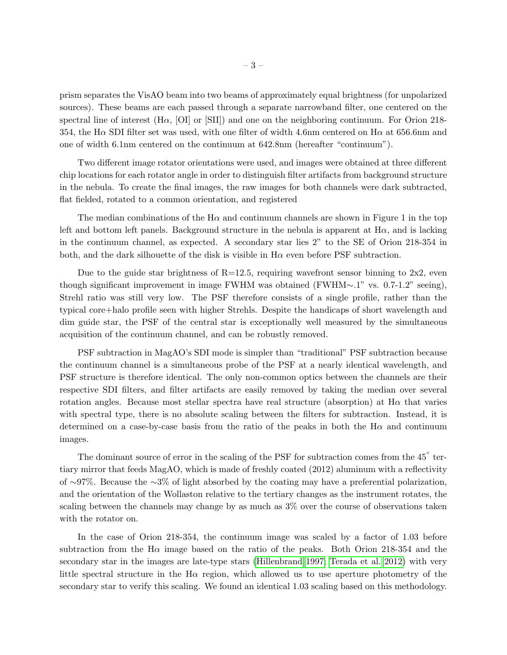prism separates the VisAO beam into two beams of approximately equal brightness (for unpolarized sources). These beams are each passed through a separate narrowband filter, one centered on the spectral line of interest  $(H\alpha, [O\mathcal{I}]$  or  $[S\mathcal{I}]\mathcal{I}$  and one on the neighboring continuum. For Orion 218-354, the H $\alpha$  SDI filter set was used, with one filter of width 4.6nm centered on H $\alpha$  at 656.6nm and one of width 6.1nm centered on the continuum at 642.8nm (hereafter "continuum").

Two different image rotator orientations were used, and images were obtained at three different chip locations for each rotator angle in order to distinguish filter artifacts from background structure in the nebula. To create the final images, the raw images for both channels were dark subtracted, flat fielded, rotated to a common orientation, and registered

The median combinations of the H $\alpha$  and continuum channels are shown in Figure 1 in the top left and bottom left panels. Background structure in the nebula is apparent at  $H\alpha$ , and is lacking in the continuum channel, as expected. A secondary star lies 2" to the SE of Orion 218-354 in both, and the dark silhouette of the disk is visible in  $H\alpha$  even before PSF subtraction.

Due to the guide star brightness of  $R=12.5$ , requiring wavefront sensor binning to  $2x2$ , even though significant improvement in image FWHM was obtained (FWHM∼.1" vs. 0.7-1.2" seeing), Strehl ratio was still very low. The PSF therefore consists of a single profile, rather than the typical core+halo profile seen with higher Strehls. Despite the handicaps of short wavelength and dim guide star, the PSF of the central star is exceptionally well measured by the simultaneous acquisition of the continuum channel, and can be robustly removed.

PSF subtraction in MagAO's SDI mode is simpler than "traditional" PSF subtraction because the continuum channel is a simultaneous probe of the PSF at a nearly identical wavelength, and PSF structure is therefore identical. The only non-common optics between the channels are their respective SDI filters, and filter artifacts are easily removed by taking the median over several rotation angles. Because most stellar spectra have real structure (absorption) at  $H\alpha$  that varies with spectral type, there is no absolute scaling between the filters for subtraction. Instead, it is determined on a case-by-case basis from the ratio of the peaks in both the  $H\alpha$  and continuum images.

The dominant source of error in the scaling of the PSF for subtraction comes from the  $45^{\circ}$  tertiary mirror that feeds MagAO, which is made of freshly coated (2012) aluminum with a reflectivity of ∼97%. Because the ∼3% of light absorbed by the coating may have a preferential polarization, and the orientation of the Wollaston relative to the tertiary changes as the instrument rotates, the scaling between the channels may change by as much as 3% over the course of observations taken with the rotator on.

In the case of Orion 218-354, the continuum image was scaled by a factor of 1.03 before subtraction from the H $\alpha$  image based on the ratio of the peaks. Both Orion 218-354 and the secondary star in the images are late-type stars [\(Hillenbrand 1997;](#page-12-12) [Terada et al. 2012\)](#page-13-1) with very little spectral structure in the  $H\alpha$  region, which allowed us to use aperture photometry of the secondary star to verify this scaling. We found an identical 1.03 scaling based on this methodology.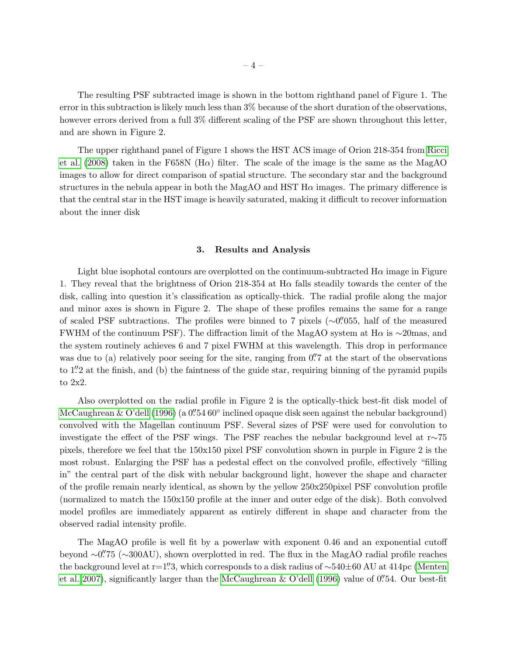The resulting PSF subtracted image is shown in the bottom righthand panel of Figure 1. The error in this subtraction is likely much less than 3% because of the short duration of the observations, however errors derived from a full 3% different scaling of the PSF are shown throughout this letter, and are shown in Figure 2.

The upper righthand panel of Figure 1 shows the HST ACS image of Orion 218-354 from [Ricci](#page-13-0) [et al.](#page-13-0) [\(2008\)](#page-13-0) taken in the F658N (H $\alpha$ ) filter. The scale of the image is the same as the MagAO images to allow for direct comparison of spatial structure. The secondary star and the background structures in the nebula appear in both the MagAO and HST  $H\alpha$  images. The primary difference is that the central star in the HST image is heavily saturated, making it difficult to recover information about the inner disk

# 3. Results and Analysis

Light blue isophotal contours are overplotted on the continuum-subtracted  $H\alpha$  image in Figure 1. They reveal that the brightness of Orion 218-354 at Hα falls steadily towards the center of the disk, calling into question it's classification as optically-thick. The radial profile along the major and minor axes is shown in Figure 2. The shape of these profiles remains the same for a range of scaled PSF subtractions. The profiles were binned to 7 pixels (∼0" 055, half of the measured FWHM of the continuum PSF). The diffraction limit of the MagAO system at H $\alpha$  is ∼20mas, and the system routinely achieves 6 and 7 pixel FWHM at this wavelength. This drop in performance was due to (a) relatively poor seeing for the site, ranging from 0. The start of the observations to 1." at the finish, and (b) the faintness of the guide star, requiring binning of the pyramid pupils to 2x2.

Also overplotted on the radial profile in Figure 2 is the optically-thick best-fit disk model of [McCaughrean & O'dell](#page-12-2) [\(1996\)](#page-12-2) (a  $0''$ 54 60° inclined opaque disk seen against the nebular background) convolved with the Magellan continuum PSF. Several sizes of PSF were used for convolution to investigate the effect of the PSF wings. The PSF reaches the nebular background level at r∼75 pixels, therefore we feel that the 150x150 pixel PSF convolution shown in purple in Figure 2 is the most robust. Enlarging the PSF has a pedestal effect on the convolved profile, effectively "filling in" the central part of the disk with nebular background light, however the shape and character of the profile remain nearly identical, as shown by the yellow 250x250pixel PSF convolution profile (normalized to match the 150x150 profile at the inner and outer edge of the disk). Both convolved model profiles are immediately apparent as entirely different in shape and character from the observed radial intensity profile.

The MagAO profile is well fit by a powerlaw with exponent 0.46 and an exponential cutoff beyond ~0".<sup>75</sup> (~300AU), shown overplotted in red. The flux in the MagAO radial profile reaches the background level at r=1". The sum of summer sponds to a disk radius of ~540±60 AU at 414pc [\(Menten](#page-12-13) [et al. 2007\)](#page-12-13), significantly larger than the [McCaughrean & O'dell](#page-12-2) [\(1996\)](#page-12-2) value of  $0''$ 54. Our best-fit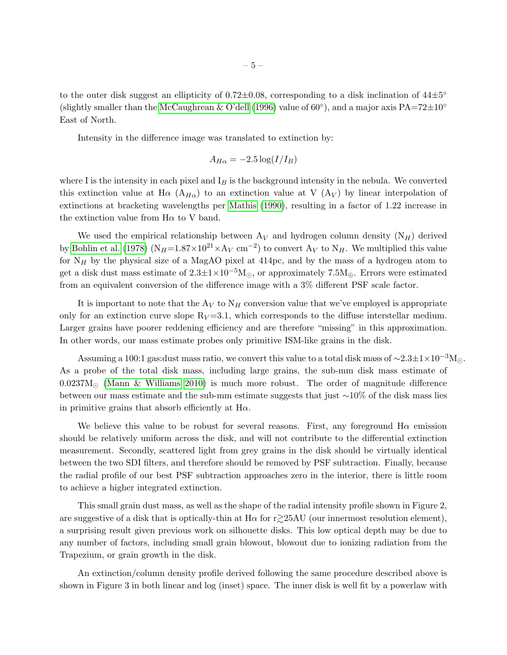to the outer disk suggest an ellipticity of  $0.72 \pm 0.08$ , corresponding to a disk inclination of  $44 \pm 5^{\circ}$ (slightly smaller than the [McCaughrean & O'dell](#page-12-2) [\(1996\)](#page-12-2) value of  $60^{\circ}$ ), and a major axis PA=72 $\pm$ 10<sup>°</sup> East of North.

Intensity in the difference image was translated to extinction by:

$$
A_{H\alpha} = -2.5 \log(I/I_B)
$$

where I is the intensity in each pixel and  $I_B$  is the background intensity in the nebula. We converted this extinction value at H $\alpha$  (A<sub>H $\alpha$ </sub>) to an extinction value at V (A<sub>V</sub>) by linear interpolation of extinctions at bracketing wavelengths per [Mathis](#page-12-14) [\(1990\)](#page-12-14), resulting in a factor of 1.22 increase in the extinction value from  $H\alpha$  to V band.

We used the empirical relationship between  $A_V$  and hydrogen column density  $(N_H)$  derived by [Bohlin et al.](#page-12-15) [\(1978\)](#page-12-15) (N<sub>H</sub>=1.87×10<sup>21</sup>×A<sub>V</sub> cm<sup>-2</sup>) to convert A<sub>V</sub> to N<sub>H</sub>. We multiplied this value for  $N_H$  by the physical size of a MagAO pixel at 414pc, and by the mass of a hydrogen atom to get a disk dust mass estimate of  $2.3 \pm 1 \times 10^{-5}$  M<sub>o</sub>, or approximately 7.5M<sub>⊕</sub>. Errors were estimated from an equivalent conversion of the difference image with a 3% different PSF scale factor.

It is important to note that the  $A_V$  to  $N_H$  conversion value that we've employed is appropriate only for an extinction curve slope  $R_V = 3.1$ , which corresponds to the diffuse interstellar medium. Larger grains have poorer reddening efficiency and are therefore "missing" in this approximation. In other words, our mass estimate probes only primitive ISM-like grains in the disk.

Assuming a 100:1 gas:dust mass ratio, we convert this value to a total disk mass of  $\sim$ 2.3 $\pm$ 1×10<sup>-3</sup>M. As a probe of the total disk mass, including large grains, the sub-mm disk mass estimate of  $0.0237M_{\odot}$  [\(Mann & Williams 2010\)](#page-12-4) is much more robust. The order of magnitude difference between our mass estimate and the sub-mm estimate suggests that just ∼10% of the disk mass lies in primitive grains that absorb efficiently at  $H\alpha$ .

We believe this value to be robust for several reasons. First, any foreground  $H\alpha$  emission should be relatively uniform across the disk, and will not contribute to the differential extinction measurement. Secondly, scattered light from grey grains in the disk should be virtually identical between the two SDI filters, and therefore should be removed by PSF subtraction. Finally, because the radial profile of our best PSF subtraction approaches zero in the interior, there is little room to achieve a higher integrated extinction.

This small grain dust mass, as well as the shape of the radial intensity profile shown in Figure 2, are suggestive of a disk that is optically-thin at H $\alpha$  for r $\gtrsim$ 25AU (our innermost resolution element), a surprising result given previous work on silhouette disks. This low optical depth may be due to any number of factors, including small grain blowout, blowout due to ionizing radiation from the Trapezium, or grain growth in the disk.

An extinction/column density profile derived following the same procedure described above is shown in Figure 3 in both linear and log (inset) space. The inner disk is well fit by a powerlaw with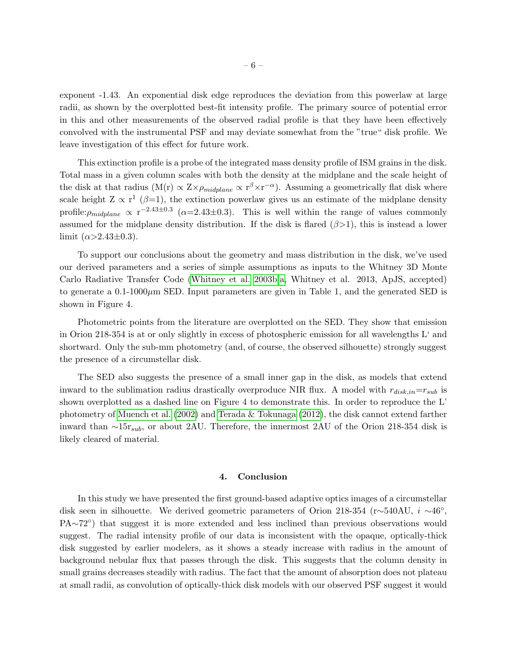exponent -1.43. An exponential disk edge reproduces the deviation from this powerlaw at large radii, as shown by the overplotted best-fit intensity profile. The primary source of potential error in this and other measurements of the observed radial profile is that they have been effectively convolved with the instrumental PSF and may deviate somewhat from the "true" disk profile. We leave investigation of this effect for future work.

This extinction profile is a probe of the integrated mass density profile of ISM grains in the disk. Total mass in a given column scales with both the density at the midplane and the scale height of the disk at that radius (M(r)  $\propto Z \times \rho_{midplane} \propto r^{\beta} \times r^{-\alpha}$ ). Assuming a geometrically flat disk where scale height  $Z \propto r^1$  ( $\beta=1$ ), the extinction powerlaw gives us an estimate of the midplane density profile: $\rho_{midplane} \propto r^{-2.43 \pm 0.3}$  ( $\alpha = 2.43 \pm 0.3$ ). This is well within the range of values commonly assumed for the midplane density distribution. If the disk is flared  $(\beta > 1)$ , this is instead a lower limit  $(\alpha > 2.43 \pm 0.3)$ .

To support our conclusions about the geometry and mass distribution in the disk, we've used our derived parameters and a series of simple assumptions as inputs to the Whitney 3D Monte Carlo Radiative Transfer Code [\(Whitney et al. 2003b,](#page-13-2)[a,](#page-13-3) Whitney et al. 2013, ApJS, accepted) to generate a  $0.1\n-1000\mu$ m SED. Input parameters are given in Table 1, and the generated SED is shown in Figure 4.

Photometric points from the literature are overplotted on the SED. They show that emission in Orion 218-354 is at or only slightly in excess of photospheric emission for all wavelengths L' and shortward. Only the sub-mm photometry (and, of course, the observed silhouette) strongly suggest the presence of a circumstellar disk.

The SED also suggests the presence of a small inner gap in the disk, as models that extend inward to the sublimation radius drastically overproduce NIR flux. A model with  $r_{disk,in}=r_{sub}$  is shown overplotted as a dashed line on Figure 4 to demonstrate this. In order to reproduce the L' photometry of [Muench et al.](#page-12-16) [\(2002\)](#page-12-16) and [Terada & Tokunaga](#page-13-4) [\(2012\)](#page-13-4), the disk cannot extend farther inward than ∼15r<sub>sub</sub>, or about 2AU. Therefore, the innermost 2AU of the Orion 218-354 disk is likely cleared of material.

## 4. Conclusion

In this study we have presented the first ground-based adaptive optics images of a circumstellar disk seen in silhouette. We derived geometric parameters of Orion 218-354 (r∼540AU, i ∼46◦ , PA∼72<sup>°</sup>) that suggest it is more extended and less inclined than previous observations would suggest. The radial intensity profile of our data is inconsistent with the opaque, optically-thick disk suggested by earlier modelers, as it shows a steady increase with radius in the amount of background nebular flux that passes through the disk. This suggests that the column density in small grains decreases steadily with radius. The fact that the amount of absorption does not plateau at small radii, as convolution of optically-thick disk models with our observed PSF suggest it would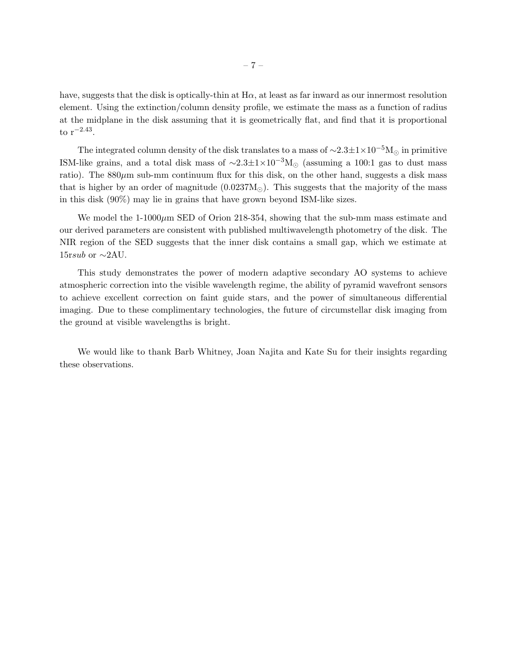have, suggests that the disk is optically-thin at  $H\alpha$ , at least as far inward as our innermost resolution element. Using the extinction/column density profile, we estimate the mass as a function of radius at the midplane in the disk assuming that it is geometrically flat, and find that it is proportional to r−2.<sup>43</sup> .

The integrated column density of the disk translates to a mass of  $\sim 2.3 \pm 1 \times 10^{-5} M_{\odot}$  in primitive ISM-like grains, and a total disk mass of  $\sim$ 2.3±1×10<sup>-3</sup>M<sub>☉</sub> (assuming a 100:1 gas to dust mass ratio). The  $880\mu$ m sub-mm continuum flux for this disk, on the other hand, suggests a disk mass that is higher by an order of magnitude  $(0.0237M_{\odot})$ . This suggests that the majority of the mass in this disk (90%) may lie in grains that have grown beyond ISM-like sizes.

We model the  $1\n-1000\mu$ m SED of Orion 218-354, showing that the sub-mm mass estimate and our derived parameters are consistent with published multiwavelength photometry of the disk. The NIR region of the SED suggests that the inner disk contains a small gap, which we estimate at 15*rsub* or  $\sim$ 2AU.

This study demonstrates the power of modern adaptive secondary AO systems to achieve atmospheric correction into the visible wavelength regime, the ability of pyramid wavefront sensors to achieve excellent correction on faint guide stars, and the power of simultaneous differential imaging. Due to these complimentary technologies, the future of circumstellar disk imaging from the ground at visible wavelengths is bright.

We would like to thank Barb Whitney, Joan Najita and Kate Su for their insights regarding these observations.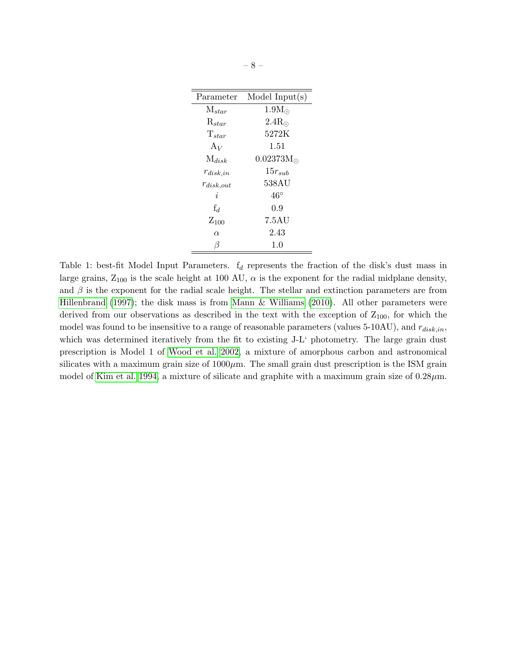| Parameter           | Model Input $(s)$  |
|---------------------|--------------------|
| $M_{star}$          | $1.9M_{\odot}$     |
| $\mathrm{R}_{star}$ | $2.4R_{\odot}$     |
| $T_{star}$          | 5272K              |
| $A_V$               | 1.51               |
| $M_{disk}$          | $0.02373M_{\odot}$ |
| $r_{disk,in}$       | $15r_{sub}$        |
| $r_{disk,out}$      | 538AU              |
| i.                  | $46^{\circ}$       |
| $f_d$               | 0.9                |
| $Z_{100}$           | 7.5AU              |
| $\alpha$            | 2.43               |
| ß                   | 1.0                |

Table 1: best-fit Model Input Parameters.  $f_d$  represents the fraction of the disk's dust mass in large grains,  $Z_{100}$  is the scale height at 100 AU,  $\alpha$  is the exponent for the radial midplane density, and  $\beta$  is the exponent for the radial scale height. The stellar and extinction parameters are from [Hillenbrand](#page-12-12) [\(1997\)](#page-12-12); the disk mass is from [Mann & Williams](#page-12-4) [\(2010\)](#page-12-4). All other parameters were derived from our observations as described in the text with the exception of  $Z_{100}$ , for which the model was found to be insensitive to a range of reasonable parameters (values 5-10AU), and  $r_{disk,in}$ , which was determined iteratively from the fit to existing  $J-L'$  photometry. The large grain dust prescription is Model 1 of [Wood et al. 2002,](#page-13-5) a mixture of amorphous carbon and astronomical silicates with a maximum grain size of  $1000\mu$ m. The small grain dust prescription is the ISM grain model of [Kim et al. 1994,](#page-12-17) a mixture of silicate and graphite with a maximum grain size of  $0.28 \mu m$ .

t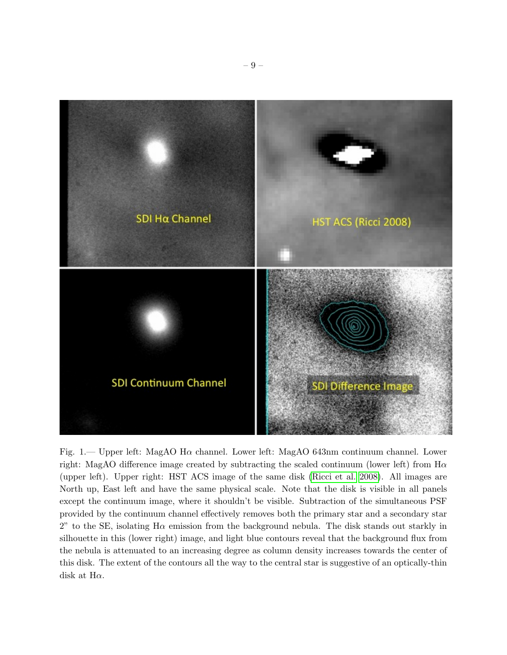

Fig. 1.— Upper left: MagAO H $\alpha$  channel. Lower left: MagAO 643nm continuum channel. Lower right: MagAO difference image created by subtracting the scaled continuum (lower left) from  $H\alpha$ (upper left). Upper right: HST ACS image of the same disk [\(Ricci et al. 2008\)](#page-13-0). All images are North up, East left and have the same physical scale. Note that the disk is visible in all panels except the continuum image, where it shouldn't be visible. Subtraction of the simultaneous PSF provided by the continuum channel effectively removes both the primary star and a secondary star 2" to the SE, isolating H $\alpha$  emission from the background nebula. The disk stands out starkly in silhouette in this (lower right) image, and light blue contours reveal that the background flux from the nebula is attenuated to an increasing degree as column density increases towards the center of this disk. The extent of the contours all the way to the central star is suggestive of an optically-thin disk at  $H\alpha$ .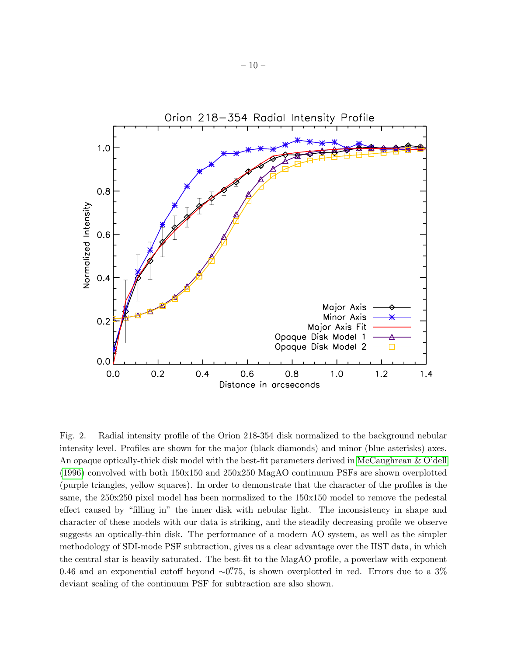

Fig. 2.— Radial intensity profile of the Orion 218-354 disk normalized to the background nebular intensity level. Profiles are shown for the major (black diamonds) and minor (blue asterisks) axes. An opaque optically-thick disk model with the best-fit parameters derived in [McCaughrean & O'dell](#page-12-2) [\(1996\)](#page-12-2) convolved with both 150x150 and 250x250 MagAO continuum PSFs are shown overplotted (purple triangles, yellow squares). In order to demonstrate that the character of the profiles is the same, the 250x250 pixel model has been normalized to the 150x150 model to remove the pedestal effect caused by "filling in" the inner disk with nebular light. The inconsistency in shape and character of these models with our data is striking, and the steadily decreasing profile we observe suggests an optically-thin disk. The performance of a modern AO system, as well as the simpler methodology of SDI-mode PSF subtraction, gives us a clear advantage over the HST data, in which the central star is heavily saturated. The best-fit to the MagAO profile, a powerlaw with exponent 0.46 and an exponential cutoff beyond  $\sim$ 0. The very overplotted in red. Errors due to a 3% deviant scaling of the continuum PSF for subtraction are also shown.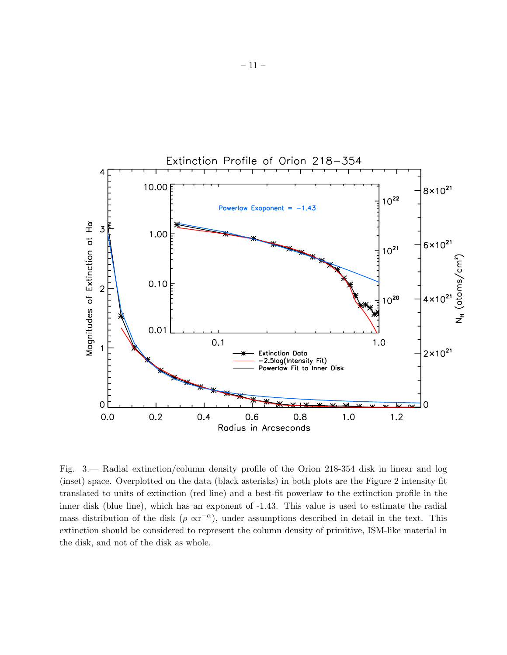

Fig. 3.— Radial extinction/column density profile of the Orion 218-354 disk in linear and log (inset) space. Overplotted on the data (black asterisks) in both plots are the Figure 2 intensity fit translated to units of extinction (red line) and a best-fit powerlaw to the extinction profile in the inner disk (blue line), which has an exponent of -1.43. This value is used to estimate the radial mass distribution of the disk  $(\rho \propto r^{-\alpha})$ , under assumptions described in detail in the text. This extinction should be considered to represent the column density of primitive, ISM-like material in the disk, and not of the disk as whole.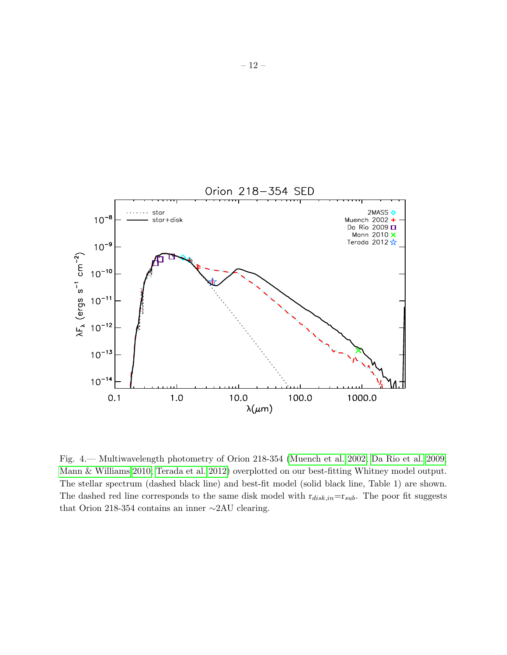

Fig. 4.— Multiwavelength photometry of Orion 218-354 [\(Muench et al. 2002;](#page-12-16) [Da Rio et al. 2009;](#page-12-18) [Mann & Williams 2010;](#page-12-4) [Terada et al. 2012\)](#page-13-1) overplotted on our best-fitting Whitney model output. The stellar spectrum (dashed black line) and best-fit model (solid black line, Table 1) are shown. The dashed red line corresponds to the same disk model with  $r_{disk,in}=r_{sub}$ . The poor fit suggests that Orion 218-354 contains an inner ∼2AU clearing.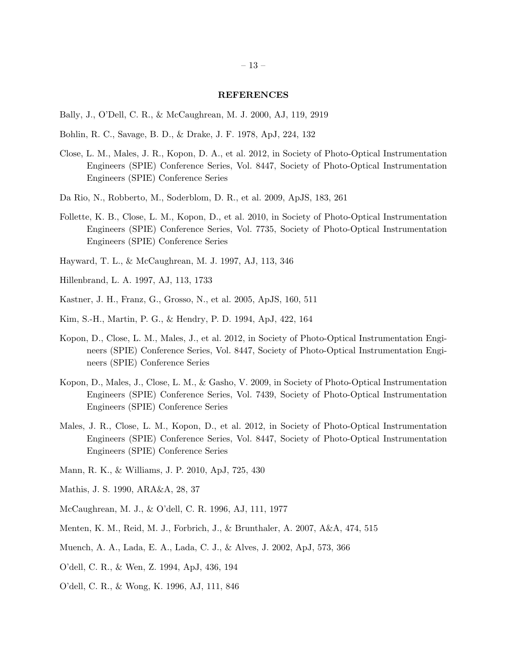#### REFERENCES

- <span id="page-12-3"></span>Bally, J., O'Dell, C. R., & McCaughrean, M. J. 2000, AJ, 119, 2919
- <span id="page-12-15"></span>Bohlin, R. C., Savage, B. D., & Drake, J. F. 1978, ApJ, 224, 132
- <span id="page-12-9"></span>Close, L. M., Males, J. R., Kopon, D. A., et al. 2012, in Society of Photo-Optical Instrumentation Engineers (SPIE) Conference Series, Vol. 8447, Society of Photo-Optical Instrumentation Engineers (SPIE) Conference Series
- <span id="page-12-18"></span>Da Rio, N., Robberto, M., Soderblom, D. R., et al. 2009, ApJS, 183, 261
- <span id="page-12-11"></span>Follette, K. B., Close, L. M., Kopon, D., et al. 2010, in Society of Photo-Optical Instrumentation Engineers (SPIE) Conference Series, Vol. 7735, Society of Photo-Optical Instrumentation Engineers (SPIE) Conference Series
- <span id="page-12-5"></span>Hayward, T. L., & McCaughrean, M. J. 1997, AJ, 113, 346
- <span id="page-12-12"></span>Hillenbrand, L. A. 1997, AJ, 113, 1733
- <span id="page-12-6"></span>Kastner, J. H., Franz, G., Grosso, N., et al. 2005, ApJS, 160, 511
- <span id="page-12-17"></span>Kim, S.-H., Martin, P. G., & Hendry, P. D. 1994, ApJ, 422, 164
- <span id="page-12-8"></span>Kopon, D., Close, L. M., Males, J., et al. 2012, in Society of Photo-Optical Instrumentation Engineers (SPIE) Conference Series, Vol. 8447, Society of Photo-Optical Instrumentation Engineers (SPIE) Conference Series
- <span id="page-12-7"></span>Kopon, D., Males, J., Close, L. M., & Gasho, V. 2009, in Society of Photo-Optical Instrumentation Engineers (SPIE) Conference Series, Vol. 7439, Society of Photo-Optical Instrumentation Engineers (SPIE) Conference Series
- <span id="page-12-10"></span>Males, J. R., Close, L. M., Kopon, D., et al. 2012, in Society of Photo-Optical Instrumentation Engineers (SPIE) Conference Series, Vol. 8447, Society of Photo-Optical Instrumentation Engineers (SPIE) Conference Series
- <span id="page-12-4"></span>Mann, R. K., & Williams, J. P. 2010, ApJ, 725, 430
- <span id="page-12-14"></span>Mathis, J. S. 1990, ARA&A, 28, 37
- <span id="page-12-2"></span>McCaughrean, M. J., & O'dell, C. R. 1996, AJ, 111, 1977
- <span id="page-12-13"></span>Menten, K. M., Reid, M. J., Forbrich, J., & Brunthaler, A. 2007, A&A, 474, 515
- <span id="page-12-16"></span>Muench, A. A., Lada, E. A., Lada, C. J., & Alves, J. 2002, ApJ, 573, 366
- <span id="page-12-0"></span>O'dell, C. R., & Wen, Z. 1994, ApJ, 436, 194
- <span id="page-12-1"></span>O'dell, C. R., & Wong, K. 1996, AJ, 111, 846